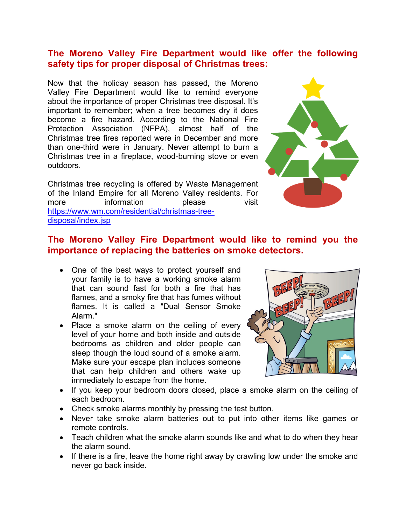## **The Moreno Valley Fire Department would like offer the following safety tips for proper disposal of Christmas trees:**

Now that the holiday season has passed, the Moreno Valley Fire Department would like to remind everyone about the importance of proper Christmas tree disposal. It's important to remember; when a tree becomes dry it does become a fire hazard. According to the National Fire Protection Association (NFPA), almost half of the Christmas tree fires reported were in December and more than one-third were in January. Never attempt to burn a Christmas tree in a fireplace, wood-burning stove or even outdoors.

Christmas tree recycling is offered by Waste Management of the Inland Empire for all Moreno Valley residents. For more information please visit [https://www.wm.com/residential/christmas-tree](https://www.wm.com/residential/christmas-tree-disposal/index.jsp)[disposal/index.jsp](https://www.wm.com/residential/christmas-tree-disposal/index.jsp)



# **The Moreno Valley Fire Department would like to remind you the importance of replacing the batteries on smoke detectors.**

- One of the best ways to protect yourself and your family is to have a working smoke alarm that can sound fast for both a fire that has flames, and a smoky fire that has fumes without flames. It is called a "Dual Sensor Smoke Alarm."
- Place a smoke alarm on the ceiling of every level of your home and both inside and outside bedrooms as children and older people can sleep though the loud sound of a smoke alarm. Make sure your escape plan includes someone that can help children and others wake up immediately to escape from the home.



- If you keep your bedroom doors closed, place a smoke alarm on the ceiling of each bedroom.
- Check smoke alarms monthly by pressing the test button.
- Never take smoke alarm batteries out to put into other items like games or remote controls.
- Teach children what the smoke alarm sounds like and what to do when they hear the alarm sound.
- If there is a fire, leave the home right away by crawling low under the smoke and never go back inside.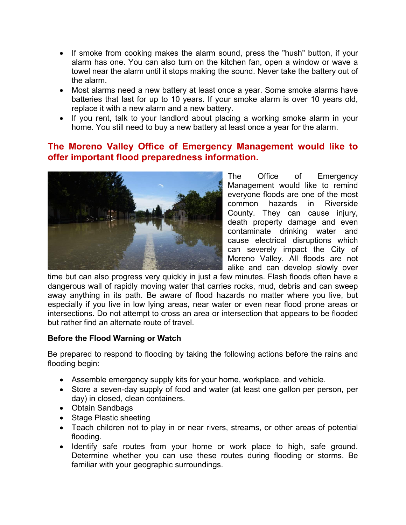- If smoke from cooking makes the alarm sound, press the "hush" button, if your alarm has one. You can also turn on the kitchen fan, open a window or wave a towel near the alarm until it stops making the sound. Never take the battery out of the alarm.
- Most alarms need a new battery at least once a year. Some smoke alarms have batteries that last for up to 10 years. If your smoke alarm is over 10 years old, replace it with a new alarm and a new battery.
- If you rent, talk to your landlord about placing a working smoke alarm in your home. You still need to buy a new battery at least once a year for the alarm.

## **The Moreno Valley Office of Emergency Management would like to offer important flood preparedness information.**



The Office of Emergency Management would like to remind everyone floods are one of the most common hazards in Riverside County. They can cause injury, death property damage and even contaminate drinking water and cause electrical disruptions which can severely impact the City of Moreno Valley. All floods are not alike and can develop slowly over

time but can also progress very quickly in just a few minutes. Flash floods often have a dangerous wall of rapidly moving water that carries rocks, mud, debris and can sweep away anything in its path. Be aware of flood hazards no matter where you live, but especially if you live in low lying areas, near water or even near flood prone areas or intersections. Do not attempt to cross an area or intersection that appears to be flooded but rather find an alternate route of travel.

#### **Before the Flood Warning or Watch**

Be prepared to respond to flooding by taking the following actions before the rains and flooding begin:

- Assemble emergency supply kits for your home, workplace, and vehicle.
- Store a seven-day supply of food and water (at least one gallon per person, per day) in closed, clean containers.
- Obtain Sandbags
- Stage Plastic sheeting
- Teach children not to play in or near rivers, streams, or other areas of potential flooding.
- Identify safe routes from your home or work place to high, safe ground. Determine whether you can use these routes during flooding or storms. Be familiar with your geographic surroundings.